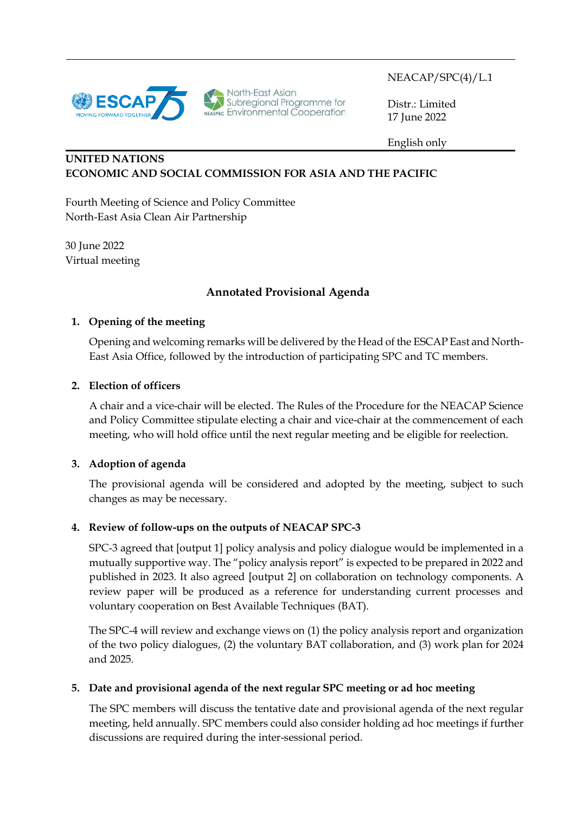

North-East Asian<br>Subregional Programme for<br>NEASPEC Environmental Cooperation

NEACAP/SPC(4)/L.1

Distr.: Limited 17 June 2022

English only

# **UNITED NATIONS ECONOMIC AND SOCIAL COMMISSION FOR ASIA AND THE PACIFIC**

Fourth Meeting of Science and Policy Committee North-East Asia Clean Air Partnership

30 June 2022 Virtual meeting

# **Annotated Provisional Agenda**

## **1. Opening of the meeting**

Opening and welcoming remarks will be delivered by the Head of the ESCAP East and North-East Asia Office, followed by the introduction of participating SPC and TC members.

#### **2. Election of officers**

A chair and a vice-chair will be elected. The Rules of the Procedure for the NEACAP Science and Policy Committee stipulate electing a chair and vice-chair at the commencement of each meeting, who will hold office until the next regular meeting and be eligible for reelection.

## **3. Adoption of agenda**

The provisional agenda will be considered and adopted by the meeting, subject to such changes as may be necessary.

## **4. Review of follow-ups on the outputs of NEACAP SPC-3**

SPC-3 agreed that [output 1] policy analysis and policy dialogue would be implemented in a mutually supportive way. The "policy analysis report" is expected to be prepared in 2022 and published in 2023. It also agreed [output 2] on collaboration on technology components. A review paper will be produced as a reference for understanding current processes and voluntary cooperation on Best Available Techniques (BAT).

The SPC-4 will review and exchange views on (1) the policy analysis report and organization of the two policy dialogues, (2) the voluntary BAT collaboration, and (3) work plan for 2024 and 2025.

## **5. Date and provisional agenda of the next regular SPC meeting or ad hoc meeting**

The SPC members will discuss the tentative date and provisional agenda of the next regular meeting, held annually. SPC members could also consider holding ad hoc meetings if further discussions are required during the inter-sessional period.